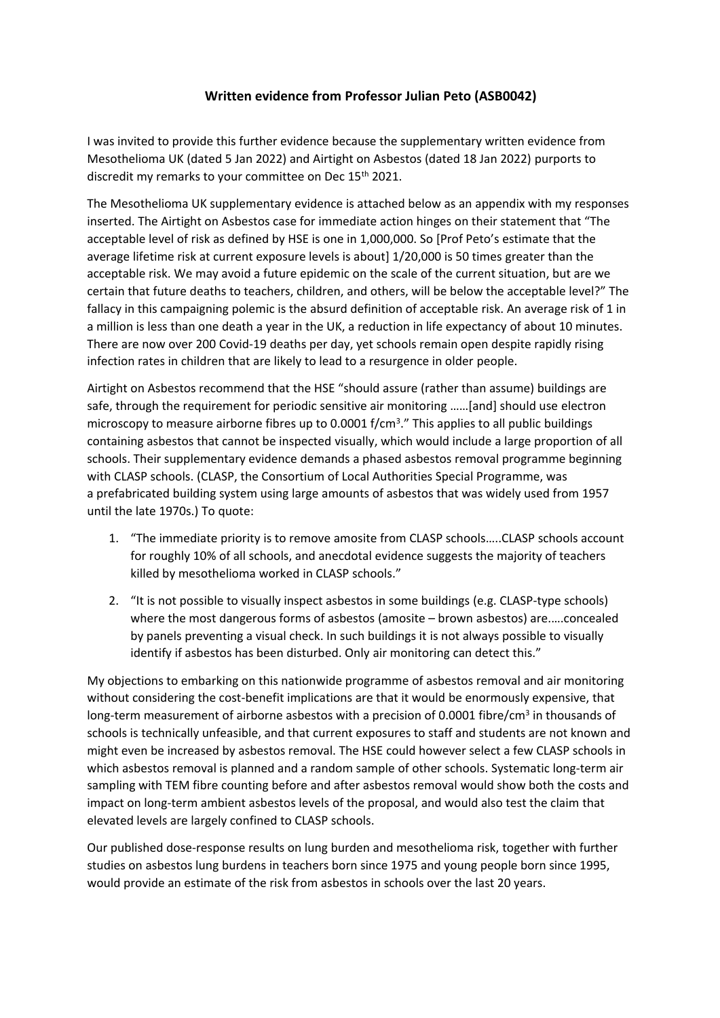# **Written evidence from Professor Julian Peto (ASB0042)**

I was invited to provide this further evidence because the supplementary written evidence from Mesothelioma UK (dated 5 Jan 2022) and Airtight on Asbestos (dated 18 Jan 2022) purports to discredit my remarks to your committee on Dec 15<sup>th</sup> 2021.

The Mesothelioma UK supplementary evidence is attached below as an appendix with my responses inserted. The Airtight on Asbestos case for immediate action hinges on their statement that "The acceptable level of risk as defined by HSE is one in 1,000,000. So [Prof Peto's estimate that the average lifetime risk at current exposure levels is about] 1/20,000 is 50 times greater than the acceptable risk. We may avoid a future epidemic on the scale of the current situation, but are we certain that future deaths to teachers, children, and others, will be below the acceptable level?" The fallacy in this campaigning polemic is the absurd definition of acceptable risk. An average risk of 1 in a million is less than one death a year in the UK, a reduction in life expectancy of about 10 minutes. There are now over 200 Covid-19 deaths per day, yet schools remain open despite rapidly rising infection rates in children that are likely to lead to a resurgence in older people.

Airtight on Asbestos recommend that the HSE "should assure (rather than assume) buildings are safe, through the requirement for periodic sensitive air monitoring ……[and] should use electron microscopy to measure airborne fibres up to 0.0001 f/cm<sup>3</sup>." This applies to all public buildings containing asbestos that cannot be inspected visually, which would include a large proportion of all schools. Their supplementary evidence demands a phased asbestos removal programme beginning with CLASP schools. (CLASP, the Consortium of Local Authorities Special Programme, was a prefabricated building system using large amounts of asbestos that was widely used from 1957 until the late 1970s.) To quote:

- 1. "The immediate priority is to remove amosite from CLASP schools…..CLASP schools account for roughly 10% of all schools, and anecdotal evidence suggests the majority of teachers killed by mesothelioma worked in CLASP schools."
- 2. "It is not possible to visually inspect asbestos in some buildings (e.g. CLASP-type schools) where the most dangerous forms of asbestos (amosite – brown asbestos) are.….concealed by panels preventing a visual check. In such buildings it is not always possible to visually identify if asbestos has been disturbed. Only air monitoring can detect this."

My objections to embarking on this nationwide programme of asbestos removal and air monitoring without considering the cost-benefit implications are that it would be enormously expensive, that long-term measurement of airborne asbestos with a precision of 0.0001 fibre/cm<sup>3</sup> in thousands of schools is technically unfeasible, and that current exposures to staff and students are not known and might even be increased by asbestos removal. The HSE could however select a few CLASP schools in which asbestos removal is planned and a random sample of other schools. Systematic long-term air sampling with TEM fibre counting before and after asbestos removal would show both the costs and impact on long-term ambient asbestos levels of the proposal, and would also test the claim that elevated levels are largely confined to CLASP schools.

Our published dose-response results on lung burden and mesothelioma risk, together with further studies on asbestos lung burdens in teachers born since 1975 and young people born since 1995, would provide an estimate of the risk from asbestos in schools over the last 20 years.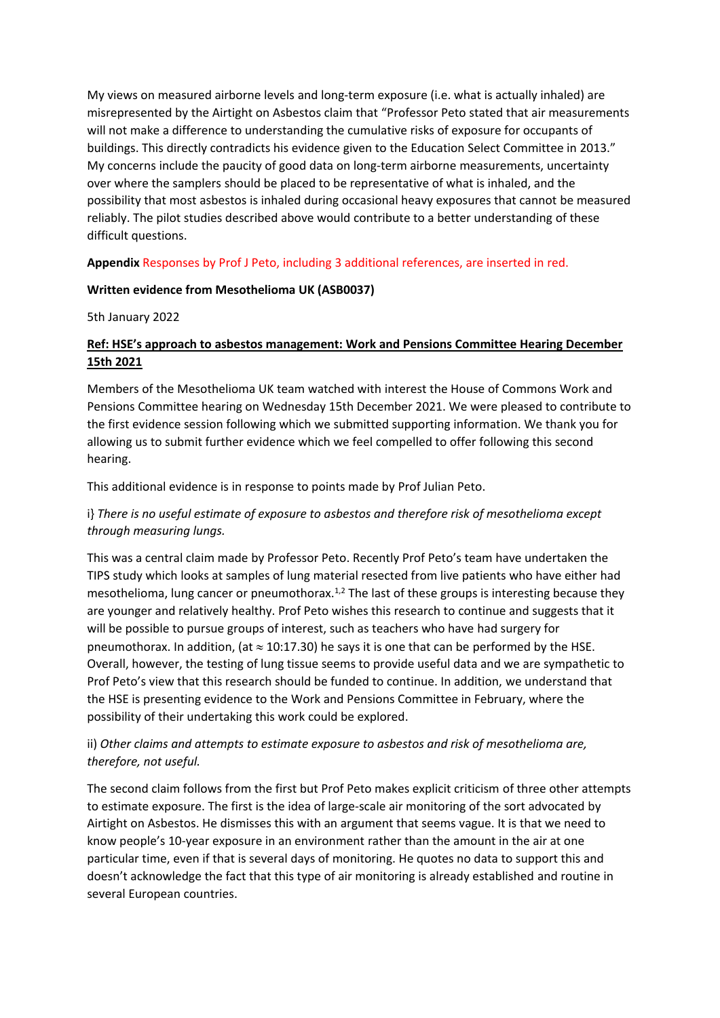My views on measured airborne levels and long-term exposure (i.e. what is actually inhaled) are misrepresented by the Airtight on Asbestos claim that "Professor Peto stated that air measurements will not make a difference to understanding the cumulative risks of exposure for occupants of buildings. This directly contradicts his evidence given to the Education Select Committee in 2013." My concerns include the paucity of good data on long-term airborne measurements, uncertainty over where the samplers should be placed to be representative of what is inhaled, and the possibility that most asbestos is inhaled during occasional heavy exposures that cannot be measured reliably. The pilot studies described above would contribute to a better understanding of these difficult questions.

### **Appendix** Responses by Prof J Peto, including 3 additional references, are inserted in red.

### **Written evidence from Mesothelioma UK (ASB0037)**

5th January 2022

### **Ref: HSE's approach to asbestos management: Work and Pensions Committee Hearing December 15th 2021**

Members of the Mesothelioma UK team watched with interest the House of Commons Work and Pensions Committee hearing on Wednesday 15th December 2021. We were pleased to contribute to the first evidence session following which we submitted supporting information. We thank you for allowing us to submit further evidence which we feel compelled to offer following this second hearing.

This additional evidence is in response to points made by Prof Julian Peto.

# i} *There is no useful estimate of exposure to asbestos and therefore risk of mesothelioma except through measuring lungs.*

This was a central claim made by Professor Peto. Recently Prof Peto's team have undertaken the TIPS study which looks at samples of lung material resected from live patients who have either had mesothelioma, lung cancer or pneumothorax.<sup>1,2</sup> The last of these groups is interesting because they are younger and relatively healthy. Prof Peto wishes this research to continue and suggests that it will be possible to pursue groups of interest, such as teachers who have had surgery for pneumothorax. In addition, (at  $\approx$  10:17.30) he says it is one that can be performed by the HSE. Overall, however, the testing of lung tissue seems to provide useful data and we are sympathetic to Prof Peto's view that this research should be funded to continue. In addition, we understand that the HSE is presenting evidence to the Work and Pensions Committee in February, where the possibility of their undertaking this work could be explored.

# ii) *Other claims and attempts to estimate exposure to asbestos and risk of mesothelioma are, therefore, not useful.*

The second claim follows from the first but Prof Peto makes explicit criticism of three other attempts to estimate exposure. The first is the idea of large-scale air monitoring of the sort advocated by Airtight on Asbestos. He dismisses this with an argument that seems vague. It is that we need to know people's 10-year exposure in an environment rather than the amount in the air at one particular time, even if that is several days of monitoring. He quotes no data to support this and doesn't acknowledge the fact that this type of air monitoring is already established and routine in several European countries.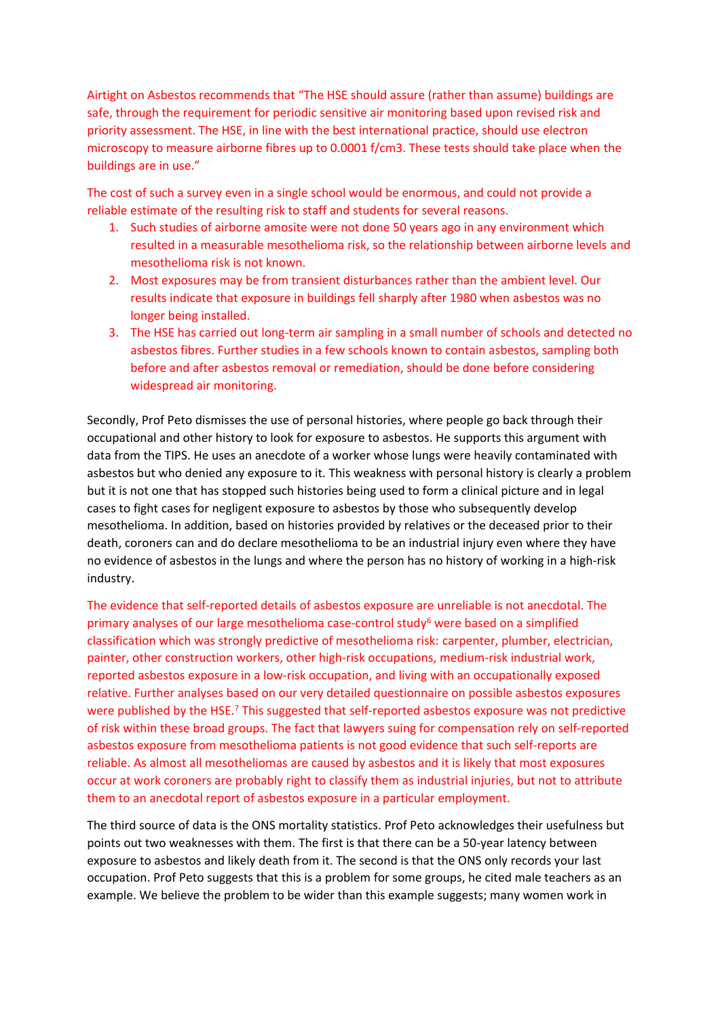Airtight on Asbestos recommends that "The HSE should assure (rather than assume) buildings are safe, through the requirement for periodic sensitive air monitoring based upon revised risk and priority assessment. The HSE, in line with the best international practice, should use electron microscopy to measure airborne fibres up to 0.0001 f/cm3. These tests should take place when the buildings are in use."

The cost of such a survey even in a single school would be enormous, and could not provide a reliable estimate of the resulting risk to staff and students for several reasons.

- 1. Such studies of airborne amosite were not done 50 years ago in any environment which resulted in a measurable mesothelioma risk, so the relationship between airborne levels and mesothelioma risk is not known.
- 2. Most exposures may be from transient disturbances rather than the ambient level. Our results indicate that exposure in buildings fell sharply after 1980 when asbestos was no longer being installed.
- 3. The HSE has carried out long-term air sampling in a small number of schools and detected no asbestos fibres. Further studies in a few schools known to contain asbestos, sampling both before and after asbestos removal or remediation, should be done before considering widespread air monitoring.

Secondly, Prof Peto dismisses the use of personal histories, where people go back through their occupational and other history to look for exposure to asbestos. He supports this argument with data from the TIPS. He uses an anecdote of a worker whose lungs were heavily contaminated with asbestos but who denied any exposure to it. This weakness with personal history is clearly a problem but it is not one that has stopped such histories being used to form a clinical picture and in legal cases to fight cases for negligent exposure to asbestos by those who subsequently develop mesothelioma. In addition, based on histories provided by relatives or the deceased prior to their death, coroners can and do declare mesothelioma to be an industrial injury even where they have no evidence of asbestos in the lungs and where the person has no history of working in a high-risk industry.

The evidence that self-reported details of asbestos exposure are unreliable is not anecdotal. The primary analyses of our large mesothelioma case-control study<sup>6</sup> were based on a simplified classification which was strongly predictive of mesothelioma risk: carpenter, plumber, electrician, painter, other construction workers, other high-risk occupations, medium-risk industrial work, reported asbestos exposure in a low-risk occupation, and living with an occupationally exposed relative. Further analyses based on our very detailed questionnaire on possible asbestos exposures were published by the HSE.<sup>7</sup> This suggested that self-reported asbestos exposure was not predictive of risk within these broad groups. The fact that lawyers suing for compensation rely on self-reported asbestos exposure from mesothelioma patients is not good evidence that such self-reports are reliable. As almost all mesotheliomas are caused by asbestos and it is likely that most exposures occur at work coroners are probably right to classify them as industrial injuries, but not to attribute them to an anecdotal report of asbestos exposure in a particular employment.

The third source of data is the ONS mortality statistics. Prof Peto acknowledges their usefulness but points out two weaknesses with them. The first is that there can be a 50-year latency between exposure to asbestos and likely death from it. The second is that the ONS only records your last occupation. Prof Peto suggests that this is a problem for some groups, he cited male teachers as an example. We believe the problem to be wider than this example suggests; many women work in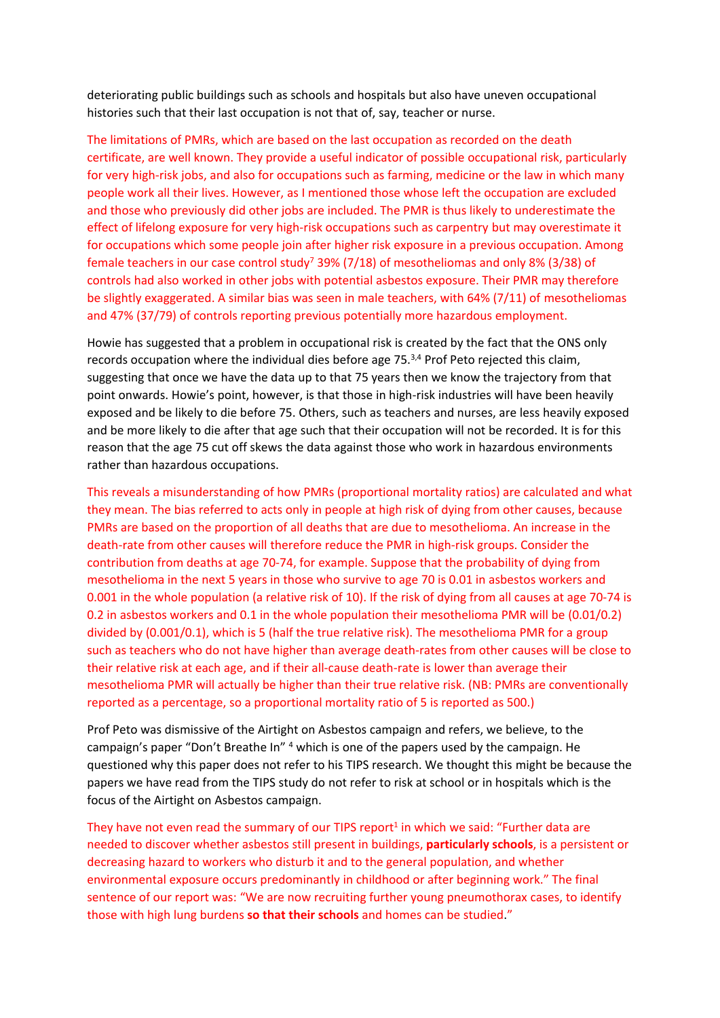deteriorating public buildings such as schools and hospitals but also have uneven occupational histories such that their last occupation is not that of, say, teacher or nurse.

The limitations of PMRs, which are based on the last occupation as recorded on the death certificate, are well known. They provide a useful indicator of possible occupational risk, particularly for very high-risk jobs, and also for occupations such as farming, medicine or the law in which many people work all their lives. However, as I mentioned those whose left the occupation are excluded and those who previously did other jobs are included. The PMR is thus likely to underestimate the effect of lifelong exposure for very high-risk occupations such as carpentry but may overestimate it for occupations which some people join after higher risk exposure in a previous occupation. Among female teachers in our case control study<sup>7</sup> 39% (7/18) of mesotheliomas and only 8% (3/38) of controls had also worked in other jobs with potential asbestos exposure. Their PMR may therefore be slightly exaggerated. A similar bias was seen in male teachers, with 64% (7/11) of mesotheliomas and 47% (37/79) of controls reporting previous potentially more hazardous employment.

Howie has suggested that a problem in occupational risk is created by the fact that the ONS only records occupation where the individual dies before age 75. $3,4$  Prof Peto rejected this claim, suggesting that once we have the data up to that 75 years then we know the trajectory from that point onwards. Howie's point, however, is that those in high-risk industries will have been heavily exposed and be likely to die before 75. Others, such as teachers and nurses, are less heavily exposed and be more likely to die after that age such that their occupation will not be recorded. It is for this reason that the age 75 cut off skews the data against those who work in hazardous environments rather than hazardous occupations.

This reveals a misunderstanding of how PMRs (proportional mortality ratios) are calculated and what they mean. The bias referred to acts only in people at high risk of dying from other causes, because PMRs are based on the proportion of all deaths that are due to mesothelioma. An increase in the death-rate from other causes will therefore reduce the PMR in high-risk groups. Consider the contribution from deaths at age 70-74, for example. Suppose that the probability of dying from mesothelioma in the next 5 years in those who survive to age 70 is 0.01 in asbestos workers and 0.001 in the whole population (a relative risk of 10). If the risk of dying from all causes at age 70-74 is 0.2 in asbestos workers and 0.1 in the whole population their mesothelioma PMR will be (0.01/0.2) divided by (0.001/0.1), which is 5 (half the true relative risk). The mesothelioma PMR for a group such as teachers who do not have higher than average death-rates from other causes will be close to their relative risk at each age, and if their all-cause death-rate is lower than average their mesothelioma PMR will actually be higher than their true relative risk. (NB: PMRs are conventionally reported as a percentage, so a proportional mortality ratio of 5 is reported as 500.)

Prof Peto was dismissive of the Airtight on Asbestos campaign and refers, we believe, to the campaign's paper "Don't Breathe In" <sup>4</sup> which is one of the papers used by the campaign. He questioned why this paper does not refer to his TIPS research. We thought this might be because the papers we have read from the TIPS study do not refer to risk at school or in hospitals which is the focus of the Airtight on Asbestos campaign.

They have not even read the summary of our TIPS report<sup>1</sup> in which we said: "Further data are needed to discover whether asbestos still present in buildings, **particularly schools**, is a persistent or decreasing hazard to workers who disturb it and to the general population, and whether environmental exposure occurs predominantly in childhood or after beginning work." The final sentence of our report was: "We are now recruiting further young pneumothorax cases, to identify those with high lung burdens **so that their schools** and homes can be studied."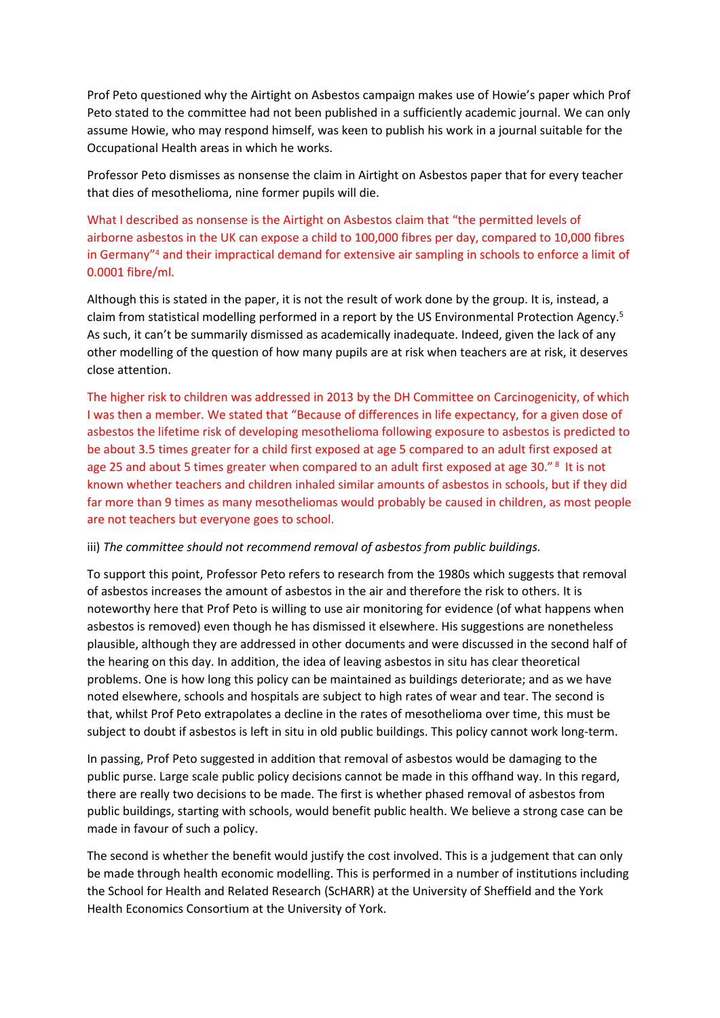Prof Peto questioned why the Airtight on Asbestos campaign makes use of Howie's paper which Prof Peto stated to the committee had not been published in a sufficiently academic journal. We can only assume Howie, who may respond himself, was keen to publish his work in a journal suitable for the Occupational Health areas in which he works.

Professor Peto dismisses as nonsense the claim in Airtight on Asbestos paper that for every teacher that dies of mesothelioma, nine former pupils will die.

What I described as nonsense is the Airtight on Asbestos claim that "the permitted levels of airborne asbestos in the UK can expose a child to 100,000 fibres per day, compared to 10,000 fibres in Germany"<sup>4</sup> and their impractical demand for extensive air sampling in schools to enforce a limit of 0.0001 fibre/ml.

Although this is stated in the paper, it is not the result of work done by the group. It is, instead, a claim from statistical modelling performed in a report by the US Environmental Protection Agency.<sup>5</sup> As such, it can't be summarily dismissed as academically inadequate. Indeed, given the lack of any other modelling of the question of how many pupils are at risk when teachers are at risk, it deserves close attention.

The higher risk to children was addressed in 2013 by the DH Committee on Carcinogenicity, of which I was then a member. We stated that "Because of differences in life expectancy, for a given dose of asbestos the lifetime risk of developing mesothelioma following exposure to asbestos is predicted to be about 3.5 times greater for a child first exposed at age 5 compared to an adult first exposed at age 25 and about 5 times greater when compared to an adult first exposed at age 30."<sup>8</sup> It is not known whether teachers and children inhaled similar amounts of asbestos in schools, but if they did far more than 9 times as many mesotheliomas would probably be caused in children, as most people are not teachers but everyone goes to school.

#### iii) *The committee should not recommend removal of asbestos from public buildings.*

To support this point, Professor Peto refers to research from the 1980s which suggests that removal of asbestos increases the amount of asbestos in the air and therefore the risk to others. It is noteworthy here that Prof Peto is willing to use air monitoring for evidence (of what happens when asbestos is removed) even though he has dismissed it elsewhere. His suggestions are nonetheless plausible, although they are addressed in other documents and were discussed in the second half of the hearing on this day. In addition, the idea of leaving asbestos in situ has clear theoretical problems. One is how long this policy can be maintained as buildings deteriorate; and as we have noted elsewhere, schools and hospitals are subject to high rates of wear and tear. The second is that, whilst Prof Peto extrapolates a decline in the rates of mesothelioma over time, this must be subject to doubt if asbestos is left in situ in old public buildings. This policy cannot work long-term.

In passing, Prof Peto suggested in addition that removal of asbestos would be damaging to the public purse. Large scale public policy decisions cannot be made in this offhand way. In this regard, there are really two decisions to be made. The first is whether phased removal of asbestos from public buildings, starting with schools, would benefit public health. We believe a strong case can be made in favour of such a policy.

The second is whether the benefit would justify the cost involved. This is a judgement that can only be made through health economic modelling. This is performed in a number of institutions including the School for Health and Related Research (ScHARR) at the University of Sheffield and the York Health Economics Consortium at the University of York.